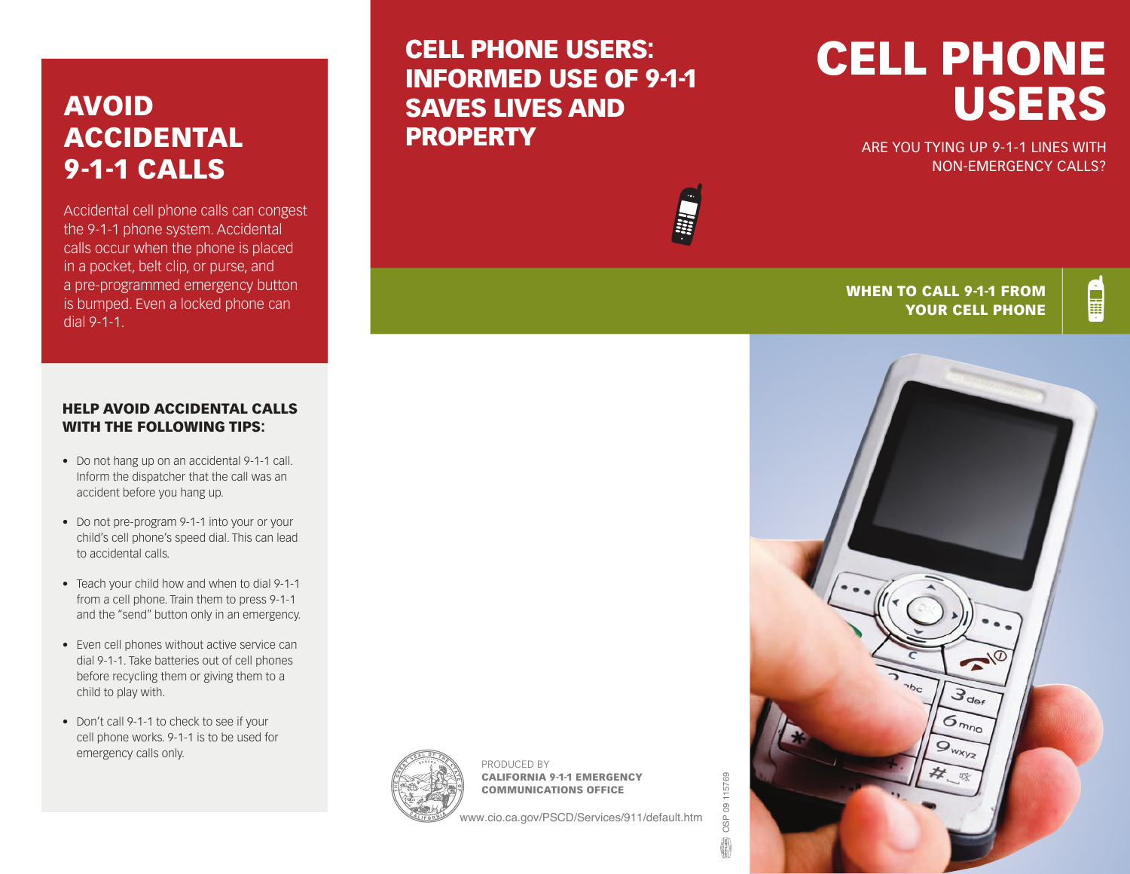# AVOID ACCIDENTAL 9-1-1 CALLS

Accidental cell phone calls can congest the 9-1-1 phone system. Accidental calls occur when the phone is placed in a pocket, belt clip, or purse, and a pre-programmed emergency button is bumped. Even a locked phone can dial 9-1-1.

#### HELP AVOID ACCIDENTAL CALLS WITH THE FOLLOWING TIPS:

- Do not hang up on an accidental 9-1-1 call. Inform the dispatcher that the call was an accident before you hang up.
- Do not pre-program 9-1-1 into your or your child's cell phone's speed dial. This can lead to accidental calls.
- Teach your child how and when to dial 9-1-1 from a cell phone. Train them to press 9-1-1 and the "send" button only in an emergency.
- Even cell phones without active service can dial 9-1-1. Take batteries out of cell phones before recycling them or giving them to a child to play with.
- Don't call 9-1-1 to check to see if your cell phone works. 9-1-1 is to be used for emergency calls only.

## CELL PHONE USERS: INFORMED USE OF 9-1-1 SAVES LIVES AND **PROPERTY**

PRODUCED BY

CALIFORNIA 9-1-1 EMERGENCY COMMUNICATIONS OFFICE

# CELL PHONE USERS

ARE YOU TYING UP 9-1-1 LINES WITH NON-EMERGENCY CALLS?



#### WHEN TO CALL 9-1-1 FROM YOUR CELL PHONE



www.cio.ca.gov/PSCD/Services/911/default.htm

OSP 09 115769

OSP 09 115769